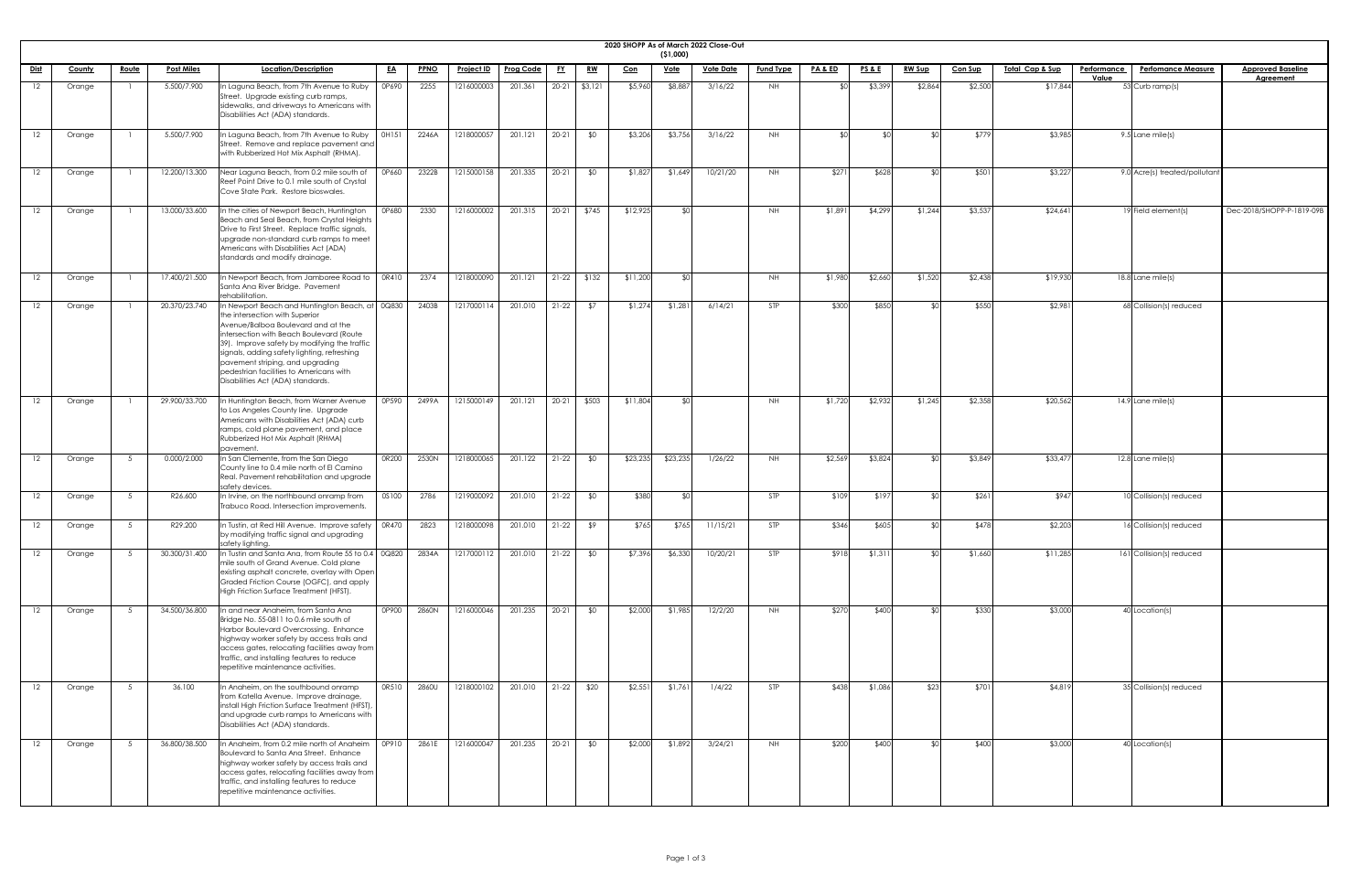| 2020 SHOPP |  |
|------------|--|

|                   |        |              |                   |                                                                                                                                                                                                                                                                                                                                                                                         |              |             |                   |                  |           |                 |            |                         | 2020 SHOPP As of March 2022 Close-Out |                  |                    |                 |                 |                |                             |                                                 |                           |
|-------------------|--------|--------------|-------------------|-----------------------------------------------------------------------------------------------------------------------------------------------------------------------------------------------------------------------------------------------------------------------------------------------------------------------------------------------------------------------------------------|--------------|-------------|-------------------|------------------|-----------|-----------------|------------|-------------------------|---------------------------------------|------------------|--------------------|-----------------|-----------------|----------------|-----------------------------|-------------------------------------------------|---------------------------|
| <u>Dist</u>       | County | <u>Route</u> | <b>Post Miles</b> | Location/Description                                                                                                                                                                                                                                                                                                                                                                    | <u>EA</u>    | <b>PPNO</b> | <u>Project ID</u> | <b>Prog Code</b> | <u>FY</u> | <u>RW</u>       | <u>Con</u> | (51,000)<br><u>Vote</u> | <b>Vote Date</b>                      | <b>Fund Type</b> | <u>PA &amp; ED</u> | <u>PS&amp;E</u> | <b>RW Sup</b>   | <b>Con Sup</b> | <u> Total Cap &amp; Sup</u> | <b>Performance</b><br><b>Perfomance Measure</b> | <b>Approved Baseline</b>  |
|                   |        |              |                   |                                                                                                                                                                                                                                                                                                                                                                                         |              |             |                   |                  |           |                 |            |                         |                                       |                  |                    |                 |                 |                |                             | Value                                           | <b>Agreement</b>          |
| 12                | Orange |              | 5.500/7.900       | In Laguna Beach, from 7th Avenue to Ruby<br>Street. Upgrade existing curb ramps,<br>sidewalks, and driveways to Americans with<br>Disabilities Act (ADA) standards.                                                                                                                                                                                                                     | OP690        | 2255        | 1216000003        | 201.361          |           | $20-21$ \$3,121 | \$5,960    | \$8,887                 | 3/16/22                               | NH I             |                    | \$3,399         | \$2,864         | \$2,500        | \$17,844                    | 53 Curb ramp(s)                                 |                           |
| $12 \overline{ }$ | Orange |              | 5.500/7.900       | In Laguna Beach, from 7th Avenue to Ruby<br>Street. Remove and replace pavement and<br>with Rubberized Hot Mix Asphalt (RHMA).                                                                                                                                                                                                                                                          | OH151        | 2246A       | 1218000057        | 201.121          | $20 - 21$ | \$0             | \$3,206    | \$3,756                 | 3/16/22                               | <b>NH</b>        |                    | \$0             | SO <sub>1</sub> | \$779          | \$3,985                     | 9.5 Lane mile(s)                                |                           |
| 12                | Orange |              | 12.200/13.300     | Near Laguna Beach, from 0.2 mile south of<br>Reef Point Drive to 0.1 mile south of Crystal<br>Cove State Park. Restore bioswales.                                                                                                                                                                                                                                                       | 0P660        | 2322B       | 1215000158        | 201.335          | $20-21$   | \$0             | \$1,827    | \$1,649                 | 10/21/20                              | <b>NH</b>        | \$271              | \$628           | ≮∩I             | \$501          | \$3,227                     | 9.0 Acre(s) treated/pollutant                   |                           |
|                   | Orange |              | 13.000/33.600     | In the cities of Newport Beach, Huntington<br>Beach and Seal Beach, from Crystal Heights<br>Drive to First Street. Replace traffic signals,<br>upgrade non-standard curb ramps to meet<br>Americans with Disabilities Act (ADA)<br>standards and modify drainage.                                                                                                                       | 0P680        | 2330        | 1216000002        | 201.315          | $20-21$   | \$745           | \$12,925   |                         |                                       | NH.              | \$1,89             | \$4,299         | \$1,244         | \$3,537        | \$24,641                    | 19 Field element(s)                             | Dec-2018/SHOPP-P-1819-09B |
| $12 \,$           | Orange |              | 17.400/21.500     | In Newport Beach, from Jamboree Road to<br>Santa Ana River Bridge. Pavement<br>rehabilitation.                                                                                                                                                                                                                                                                                          | OR410        | 2374        | 1218000090        | 201.121          | $21-22$   | \$132           | \$11,200   |                         |                                       | NH.              | \$1,980            | \$2,660         | \$1,520         | \$2,438        | \$19,930                    | 18.8 Lane mile(s)                               |                           |
| 12.               | Orange |              | 20.370/23.740     | In Newport Beach and Huntington Beach, at 0Q830<br>the intersection with Superior<br>Avenue/Balboa Boulevard and at the<br>intersection with Beach Boulevard (Route<br>[39]. Improve safety by modifying the traffic<br>signals, adding safety lighting, refreshing<br>pavement striping, and upgrading<br>pedestrian facilities to Americans with<br>Disabilities Act (ADA) standards. |              | 2403B       | 1217000114        | 201.010          | $21-22$   | \$7             | \$1,274    | \$1,281                 | 6/14/21                               | <b>STP</b>       | \$300              | \$850           | ו∩⊅             | \$550          | \$2,981                     | 68 Collision(s) reduced                         |                           |
|                   | Orange |              | 29.900/33.700     | In Huntington Beach, from Warner Avenue<br>to Los Angeles County line. Upgrade<br>Americans with Disabilities Act (ADA) curb<br>ramps, cold plane pavement, and place<br>Rubberized Hot Mix Asphalt (RHMA)<br>pavement.                                                                                                                                                                 | 0P590        | 2499A       | 1215000149        | 201.121          |           | 20-21 \$503     | \$11,804   |                         |                                       | <b>NH</b>        | \$1,720            | \$2,932         | \$1,245         | \$2,358        | \$20,562                    | $14.9$ Lane mile(s)                             |                           |
| 12.               | Orange | - 5          | 0.000/2.000       | In San Clemente, from the San Diego<br>County line to 0.4 mile north of El Camino<br>Real. Pavement rehabilitation and upgrade<br>safety devices.                                                                                                                                                                                                                                       | 0R200        | 2530N       | 1218000065        | 201.122          | $21-22$   | \$0             | \$23,235   | \$23,235                | 1/26/22                               | NH.              | \$2,569            | \$3,824         | ו∩≯             | \$3,849        | \$33,477                    | $12.8$ Lane mile(s)                             |                           |
| 12                | Orange | 5            | R26.600           | In Irvine, on the northbound onramp from<br>Trabuco Road. Intersection improvements.                                                                                                                                                                                                                                                                                                    | <b>OS100</b> | 2786        | 1219000092        | 201.010          | $21-22$   | \$0             | \$380      |                         |                                       | <b>STP</b>       | \$109              | \$197           |                 | \$261          | \$947                       | 10 Collision(s) reduced                         |                           |
| 12.               | Orange |              | R29.200           | In Tustin, at Red Hill Avenue. Improve safety   0R470<br>by modifying traffic signal and upgrading<br>safety lighting.                                                                                                                                                                                                                                                                  |              | 2823        | 1218000098        | 201.010          | $21-22$   | \$9             | \$765      | \$765                   | 11/15/21                              | <b>STP</b>       | \$346              | \$605           |                 | \$478          | \$2,203                     | 16 Collision(s) reduced                         |                           |
| 12                | Orange | 5            | 30.300/31.400     | In Tustin and Santa Ana, from Route 55 to 0.4 0Q820<br>mile south of Grand Avenue. Cold plane<br>existing asphalt concrete, overlay with Open<br>Graded Friction Course (OGFC), and apply<br>High Friction Surface Treatment (HFST).                                                                                                                                                    |              | 2834A       | 1217000112        | 201.010          | $21-22$   | \$0             | \$7,396    | \$6,330                 | 10/20/21                              | <b>STP</b>       | \$918              | \$1,311         | ו∩≯             | \$1,660        | \$11,285                    | 161 Collision(s) reduced                        |                           |
|                   | Orange |              | 34.500/36.800     | In and near Anaheim, from Santa Ana<br>Bridge No. 55-0811 to 0.6 mile south of<br>Harbor Boulevard Overcrossing. Enhance<br>highway worker safety by access trails and<br>access gates, relocating facilities away from<br>traffic, and installing features to reduce<br>repetitive maintenance activities.                                                                             | 0P900        | 2860N       | 1216000046        | 201.235          | 20-21     | \$0             | \$2,000    | \$1,985                 | 12/2/20                               | NH .             | \$270              | \$400           |                 | \$330          | \$3,000                     | 40 Location(s)                                  |                           |
| 12                | Orange |              | 36.100            | In Anaheim, on the southbound onramp<br>from Katella Avenue. Improve drainage,<br>install High Friction Surface Treatment (HFST),<br>and upgrade curb ramps to Americans with<br>Disabilities Act (ADA) standards.                                                                                                                                                                      | OR510        | 2860U       | 1218000102        | 201.010 21-22    |           | \$20            | \$2,551    | \$1,761                 | 1/4/22                                | <b>STP</b>       | \$438              | \$1,086         | \$23            | \$701          | \$4,819                     | 35 Collision(s) reduced                         |                           |
| $12 \overline{ }$ | Orange |              | 36.800/38.500     | In Anaheim, from 0.2 mile north of Anaheim<br>Boulevard to Santa Ana Street. Enhance<br>highway worker safety by access trails and<br>access gates, relocating facilities away from<br>traffic, and installing features to reduce<br>repetitive maintenance activities.                                                                                                                 | 0P910        | 2861E       | 1216000047        | 201.235          | $20-21$   | \$0             | \$2,000    | \$1,892                 | 3/24/21                               | <b>NH</b>        | \$200              | \$400           |                 | \$400          | \$3,000                     | 40 Location(s)                                  |                           |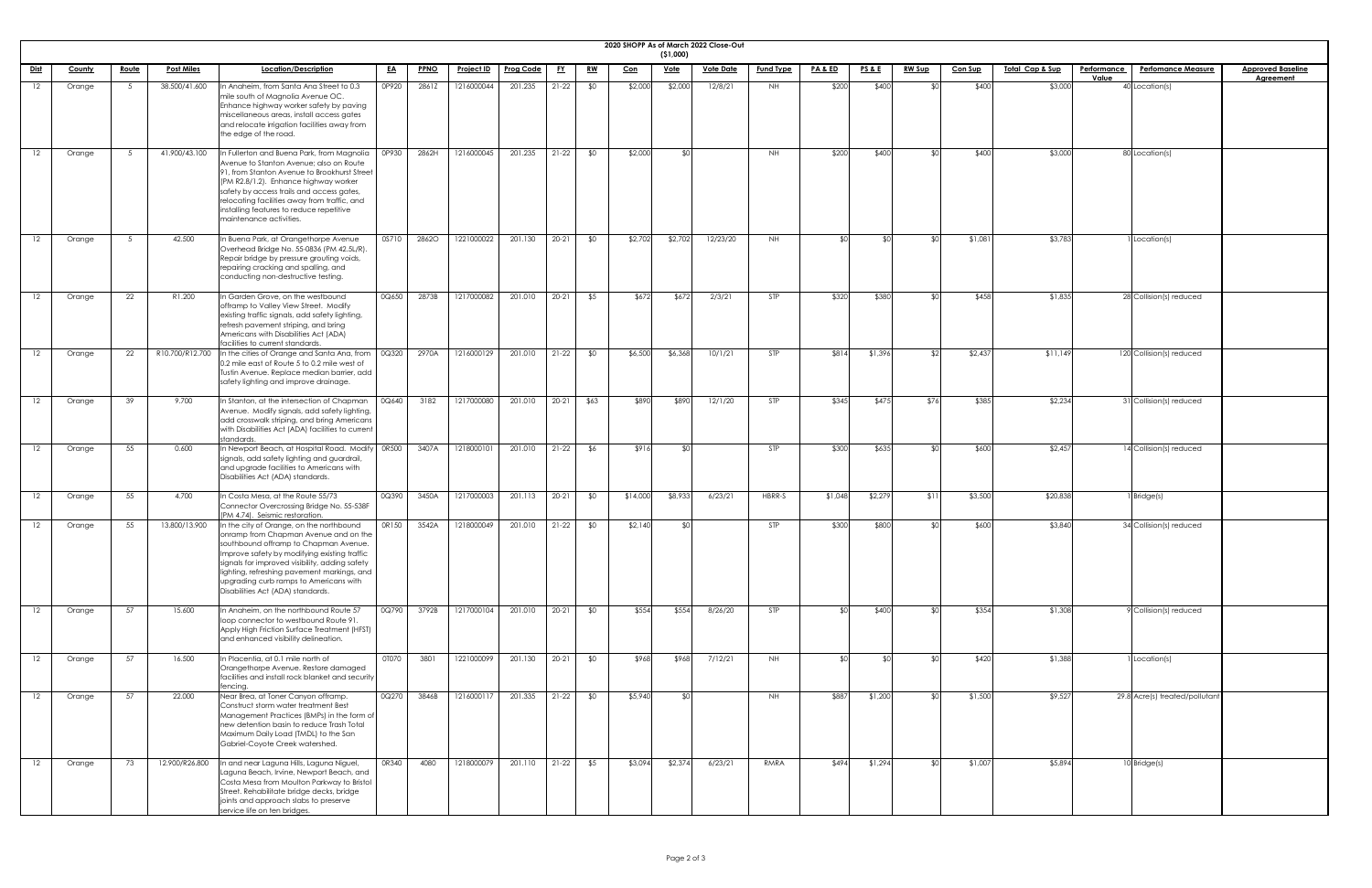|                 |        |              |                   |                                                                                                                                                                                                                                                                                                                                                            |           |             |                   |                  |           |           |            |             | 2020 SHOPP As of March 2022 Close-Out |                  |                    |                 |               |                |                             |                             |                                |                          |
|-----------------|--------|--------------|-------------------|------------------------------------------------------------------------------------------------------------------------------------------------------------------------------------------------------------------------------------------------------------------------------------------------------------------------------------------------------------|-----------|-------------|-------------------|------------------|-----------|-----------|------------|-------------|---------------------------------------|------------------|--------------------|-----------------|---------------|----------------|-----------------------------|-----------------------------|--------------------------------|--------------------------|
|                 |        |              |                   |                                                                                                                                                                                                                                                                                                                                                            |           |             |                   |                  |           |           |            | (51,000)    |                                       |                  |                    |                 |               |                |                             |                             |                                | <b>Approved Baseline</b> |
| <b>Dist</b>     | County | <u>Route</u> | <b>Post Miles</b> | Location/Description                                                                                                                                                                                                                                                                                                                                       | <u>EA</u> | <u>PPNO</u> | <u>Project ID</u> | <b>Prog Code</b> |           | <u>RW</u> | <u>Con</u> | <u>Vote</u> | <b>Vote Date</b>                      | <b>Fund Type</b> | <u>PA &amp; ED</u> | <b>PS&amp;E</b> | <u>RW Sup</u> | <u>Con Sup</u> | <u> Total Cap &amp; Sup</u> | <b>Performance</b><br>Value | <b>Perfomance Measure</b>      | <b>Agreement</b>         |
| 12              | Orange |              | 38.500/41.600     | In Anaheim, from Santa Ana Street to 0.3<br>mile south of Magnolia Avenue OC.<br>Enhance highway worker safety by paving<br>miscellaneous areas, install access gates<br>and relocate irrigation facilities away from<br>the edge of the road.                                                                                                             | 0P920     | 2861Z       | 1216000044        | 201.235          | $21 - 22$ | \$0       | \$2,000    | \$2,000     | 12/8/21                               | NH               | \$200              | \$400           |               | \$400          | \$3,000                     |                             | 40 Location(s)                 |                          |
| 12              | Orange |              | 41.900/43.100     | In Fullerton and Buena Park, from Magnolia<br>Avenue to Stanton Avenue; also on Route<br>91, from Stanton Avenue to Brookhurst Street<br>(PM R2.8/1.2). Enhance highway worker<br>safety by access trails and access gates,<br>relocating facilities away from traffic, and<br>installing features to reduce repetitive<br>maintenance activities.         | OP930     | 2862H       | 1216000045        | 201.235          | $21 - 22$ | \$0       | \$2,000    | <b>RO</b>   |                                       | <b>NH</b>        | \$200              | \$400           |               | \$400          | \$3,000                     |                             | 80 Location(s)                 |                          |
| 12              | Orange |              | 42.500            | In Buena Park, at Orangethorpe Avenue<br>Overhead Bridge No. 55-0836 (PM 42.5L/R).<br>Repair bridge by pressure grouting voids,<br>repairing cracking and spalling, and<br>conducting non-destructive testing.                                                                                                                                             | 0S710     | 2862O       | 1221000022        | 201.130          | $20 - 21$ | \$0       | \$2,702    | \$2,702     | 12/23/20                              | <b>NH</b>        | ו∩\$               | ו∩⊅             |               | \$1,08         | \$3,783                     |                             | Location(s)                    |                          |
| 12              | Orange | 22           | R1.200            | In Garden Grove, on the westbound<br>offramp to Valley View Street. Modify<br>existing traffic signals, add safety lighting,<br>refresh pavement striping, and bring<br>Americans with Disabilities Act (ADA)<br>facilities to current standards                                                                                                           | 0Q650     | 2873B       | 1217000082        | 201.010          | $20 - 21$ | \$5       | \$672      | \$672       | 2/3/21                                | STP              | \$320              | \$380           |               | \$458          | \$1,835                     |                             | 28 Collision(s) reduced        |                          |
| 12              | Orange | 22           |                   | R10.700/R12.700 $\left  \right $ In the cities of Orange and Santa Ana, from $\left  \right $ 0Q320 $\left  \right $<br>0.2 mile east of Route 5 to 0.2 mile west of<br>Tustin Avenue. Replace median barrier, add<br>safety lighting and improve drainage.                                                                                                |           | 2970A       | 1216000129        | 201.010          | $21-22$   | \$0       | \$6,500    | \$6,368     | 10/1/21                               | STP              | \$814              | \$1,396         |               | \$2,43         | \$11,149                    |                             | 120 Collision(s) reduced       |                          |
| 12              | Orange | 39           | 9.700             | In Stanton, at the intersection of Chapman<br>Avenue. Modify signals, add safety lighting,<br>add crosswalk striping, and bring Americans<br>with Disabilities Act (ADA) facilities to current<br>standards.                                                                                                                                               | 0Q640     | 3182        | 1217000080        | 201.010          | $20 - 21$ | \$63      | \$890      | \$890       | 12/1/20                               | <b>STP</b>       | \$345              | \$475           | <b>\$76</b>   | \$385          | \$2,234                     |                             | 31 Collision(s) reduced        |                          |
| 12              | Orange | 55           | 0.600             | In Newport Beach, at Hospital Road. Modify   0R500<br>signals, add safety lighting and guardrail,<br>and upgrade facilities to Americans with<br>Disabilities Act (ADA) standards.                                                                                                                                                                         |           | 3407A       | 1218000101        | 201.010          | $21-22$   | \$6       | \$916      | \$0         |                                       | STP              | \$300              | \$635           |               | \$600          | \$2,457                     |                             | 14 Collision(s) reduced        |                          |
| 12              | Orange | 55           | 4.700             | In Costa Mesa, at the Route 55/73<br>Connector Overcrossing Bridge No. 55-538F<br>(PM 4.74). Seismic restoration.                                                                                                                                                                                                                                          | 0Q390     | 3450A       | 1217000003        | 201.113          | $20 - 21$ | \$0       | \$14,000   | \$8,933     | 6/23/21                               | HBRR-S           | \$1,048            | \$2,279         | - \$1         | \$3,500        | \$20,838                    |                             | Bridge(s)                      |                          |
| 12 <sup>2</sup> | Orange | 55           | 13.800/13.900     | In the city of Orange, on the northbound<br>onramp from Chapman Avenue and on the<br>southbound offramp to Chapman Avenue.<br>Improve safety by modifying existing traffic<br>signals for improved visibility, adding safety<br>lighting, refreshing pavement markings, and<br>upgrading curb ramps to Americans with<br>Disabilities Act (ADA) standards. | OR150     | 3542A       | 1218000049        | 201.010          | $21-22$   | \$0       | \$2,140    | ዳଠ          |                                       | <b>STP</b>       | \$300              | \$800           |               | \$600          | \$3,840                     |                             | 34 Collision(s) reduced        |                          |
| $12 \,$         | Orange | 57           | 15.600            | In Anaheim, on the northbound Route 57<br>loop connector to westbound Route 91.<br>Apply High Friction Surface Treatment (HFST)<br>and enhanced visibility delineation.                                                                                                                                                                                    | 0Q790     | 3792B       | 1217000104        | 201.010          | $20 - 21$ | \$0       | \$554      | \$554       | 8/26/20                               | <b>STP</b>       | \$∩                | \$400           |               | \$354          | \$1,308                     |                             | 9 Collision(s) reduced         |                          |
|                 | Orange | 57           | 16.500            | In Placentia, at 0.1 mile north of<br>Orangethorpe Avenue. Restore damaged<br>facilities and install rock blanket and security<br>fencing.                                                                                                                                                                                                                 | OTO70     | 3801        | 1221000099        | 201.130          | $20 - 21$ | \$0       | \$968      | \$968       | 7/12/21                               | NH               |                    |                 |               | \$420          | \$1,388                     |                             | Location(s)                    |                          |
| 12              | Orange | 57           | 22.000            | Near Brea, at Toner Canyon offramp.<br>Construct storm water treatment Best<br>Management Practices (BMPs) in the form of<br>new detention basin to reduce Trash Total<br>Maximum Daily Load (TMDL) to the San<br>Gabriel-Coyote Creek watershed.                                                                                                          | 0Q270     | 3846B       | 1216000117        | 201.335          | $21-22$   | \$0       | \$5,940    | \$0         |                                       | <b>NH</b>        | \$887              | \$1,200         |               | \$1,500        | \$9,527                     |                             | 29.8 Acre(s) treated/pollutant |                          |
| 12              | Orange | 73           | 12.900/R26.800    | In and near Laguna Hills, Laguna Niguel,<br>Laguna Beach, Irvine, Newport Beach, and<br>Costa Mesa from Moulton Parkway to Bristol<br>Street. Rehabilitate bridge decks, bridge<br>joints and approach slabs to preserve<br>service life on ten bridges.                                                                                                   | 0R340     | 4080        | 1218000079        | 201.110          | $21-22$   | \$5       | \$3,094    | \$2,374     | 6/23/21                               | RMRA             | \$494              | \$1,294         |               | \$1,007        | \$5,894                     |                             | $10$ Bridge(s)                 |                          |

| <u>eline</u><br>It |  |
|--------------------|--|
|                    |  |
|                    |  |
|                    |  |
|                    |  |
|                    |  |
|                    |  |
|                    |  |
|                    |  |
|                    |  |
|                    |  |
|                    |  |
|                    |  |
|                    |  |
|                    |  |
|                    |  |
|                    |  |
|                    |  |
|                    |  |
|                    |  |
|                    |  |
|                    |  |
|                    |  |
|                    |  |
|                    |  |
|                    |  |
|                    |  |
|                    |  |
|                    |  |
|                    |  |
|                    |  |
|                    |  |